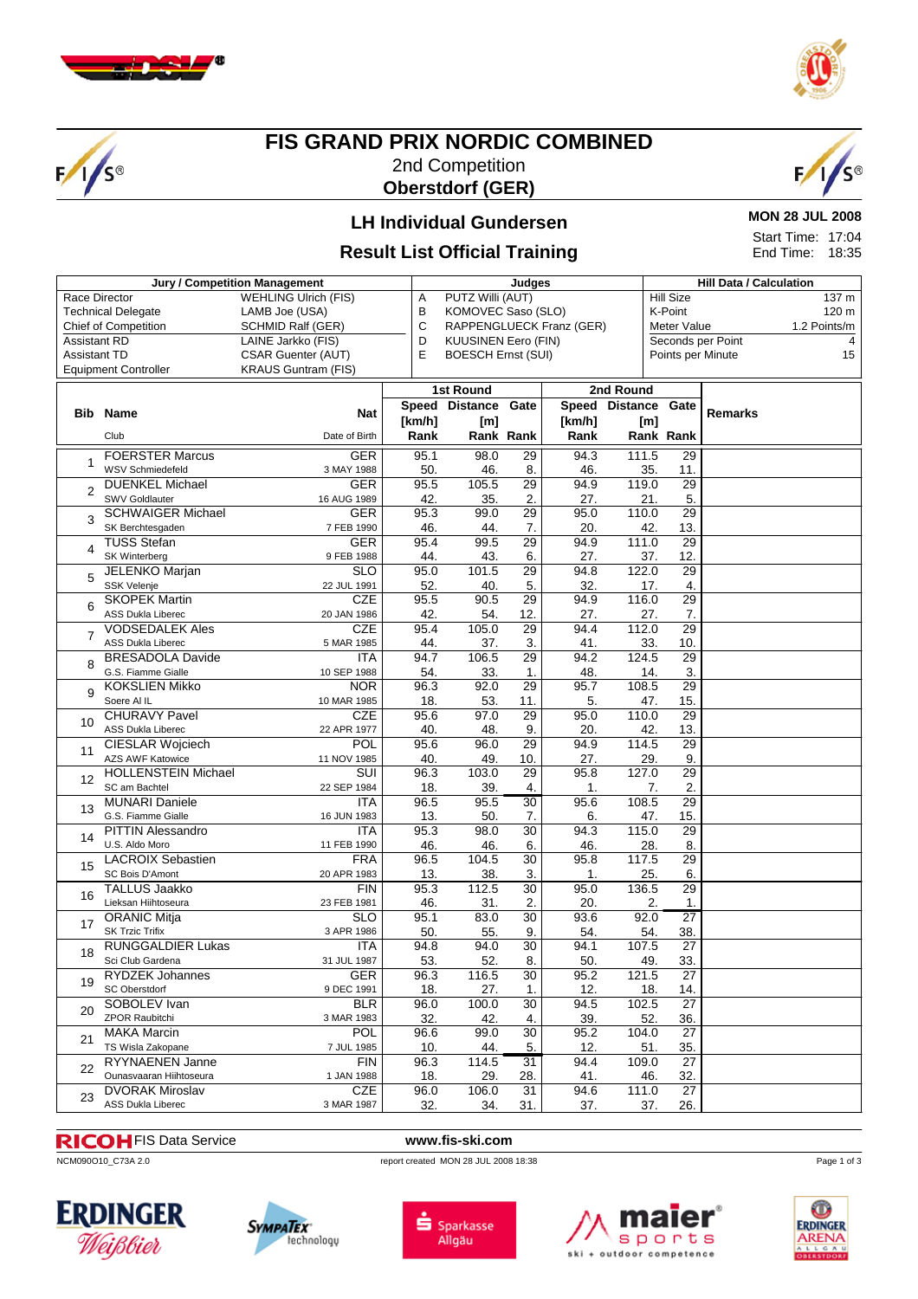

 $1/s$ 



## **FIS GRAND PRIX NORDIC COMBINED** 2nd Competition **Oberstdorf (GER)**



# **LH Individual Gundersen**

#### **MON 28 JUL 2008** Start Time: 17:04 End Time: 18:35

**Result List Official Training**

|                                                  | <b>Jury / Competition Management</b>          |                            | Judges<br>Α |                                                                                       |                       |            |                | <b>Hill Data / Calculation</b> |                |  |  |
|--------------------------------------------------|-----------------------------------------------|----------------------------|-------------|---------------------------------------------------------------------------------------|-----------------------|------------|----------------|--------------------------------|----------------|--|--|
| <b>WEHLING Ulrich (FIS)</b><br>Race Director     |                                               |                            |             | PUTZ Willi (AUT)                                                                      |                       |            |                | <b>Hill Size</b><br>137 m      |                |  |  |
| <b>Technical Delegate</b><br>LAMB Joe (USA)      |                                               |                            |             | KOMOVEC Saso (SLO)                                                                    |                       |            |                | K-Point<br>120 m               |                |  |  |
| <b>Chief of Competition</b><br>SCHMID Ralf (GER) |                                               |                            |             |                                                                                       |                       |            |                | 1.2 Points/m<br>Meter Value    |                |  |  |
| <b>Assistant RD</b><br>LAINE Jarkko (FIS)        |                                               |                            |             | С<br>RAPPENGLUECK Franz (GER)<br>D<br>Seconds per Point<br><b>KUUSINEN Eero (FIN)</b> |                       |            |                |                                |                |  |  |
| <b>Assistant TD</b><br><b>CSAR Guenter (AUT)</b> |                                               |                            |             | E<br><b>BOESCH Ernst (SUI)</b><br>Points per Minute                                   |                       |            |                |                                |                |  |  |
|                                                  |                                               |                            |             |                                                                                       |                       |            |                |                                | 15             |  |  |
|                                                  | <b>Equipment Controller</b>                   | <b>KRAUS Guntram (FIS)</b> |             |                                                                                       |                       |            |                |                                |                |  |  |
|                                                  |                                               |                            |             | 1st Round                                                                             |                       |            | 2nd Round      |                                |                |  |  |
|                                                  |                                               |                            |             | Speed Distance                                                                        | Gate                  |            | Speed Distance | Gate                           |                |  |  |
| Bib                                              | <b>Name</b>                                   | <b>Nat</b>                 | [km/h]      | [m]                                                                                   |                       | [km/h]     | [m]            |                                | <b>Remarks</b> |  |  |
|                                                  | Club                                          | Date of Birth              | Rank        |                                                                                       | Rank Rank             | Rank       |                | Rank Rank                      |                |  |  |
|                                                  |                                               |                            |             |                                                                                       |                       |            |                |                                |                |  |  |
|                                                  | <b>FOERSTER Marcus</b>                        | <b>GER</b>                 | 95.1        | 98.0                                                                                  | $\overline{29}$       | 94.3       | 111.5          | $\overline{29}$                |                |  |  |
|                                                  | WSV Schmiedefeld                              | 3 MAY 1988                 | 50.         | 46.                                                                                   | 8.                    | 46.        | 35.            | 11.                            |                |  |  |
| 2                                                | <b>DUENKEL Michael</b>                        | <b>GER</b>                 | 95.5        | 105.5                                                                                 | 29                    | 94.9       | 119.0          | $\overline{29}$                |                |  |  |
|                                                  | <b>SWV Goldlauter</b>                         | 16 AUG 1989                | 42.         | 35.                                                                                   | 2.                    | 27.        | 21.            | 5.                             |                |  |  |
| 3                                                | <b>SCHWAIGER Michael</b>                      | <b>GER</b>                 | 95.3        | 99.0                                                                                  | $\overline{29}$       | 95.0       | 110.0          | 29                             |                |  |  |
|                                                  | SK Berchtesgaden                              | 7 FEB 1990                 | 46.         | 44.                                                                                   | 7.                    | 20.        | 42.            | 13.                            |                |  |  |
|                                                  | <b>TUSS Stefan</b>                            | <b>GER</b>                 | 95.4        | 99.5                                                                                  | 29                    | 94.9       | 111.0          | 29                             |                |  |  |
| 4                                                | SK Winterberg                                 | 9 FEB 1988                 | 44.         | 43.                                                                                   | 6.                    | 27.        | 37.            | 12.                            |                |  |  |
|                                                  | <b>JELENKO Marjan</b>                         | $\overline{\text{SLO}}$    | 95.0        | 101.5                                                                                 | 29                    | 94.8       | 122.0          | 29                             |                |  |  |
| 5                                                | SSK Velenje                                   | 22 JUL 1991                | 52.         | 40.                                                                                   | 5.                    | 32.        | 17.            | 4.                             |                |  |  |
|                                                  | <b>SKOPEK Martin</b>                          | <b>CZE</b>                 | 95.5        | 90.5                                                                                  | $\overline{29}$       | 94.9       | 116.0          | $\overline{29}$                |                |  |  |
| 6                                                | ASS Dukla Liberec                             | 20 JAN 1986                | 42.         | 54.                                                                                   | 12.                   | 27.        | 27.            | 7.                             |                |  |  |
|                                                  | <b>VODSEDALEK Ales</b>                        | <b>CZE</b>                 | 95.4        | 105.0                                                                                 | 29                    | 94.4       | 112.0          | 29                             |                |  |  |
| $\overline{7}$                                   | <b>ASS Dukla Liberec</b>                      | 5 MAR 1985                 | 44.         | 37.                                                                                   | 3.                    | 41.        | 33.            | 10.                            |                |  |  |
|                                                  | <b>BRESADOLA Davide</b>                       | <b>ITA</b>                 | 94.7        | 106.5                                                                                 | 29                    | 94.2       | 124.5          | 29                             |                |  |  |
| 8                                                | G.S. Fiamme Gialle                            | 10 SEP 1988                | 54.         | 33.                                                                                   | 1.                    | 48.        | 14.            | 3.                             |                |  |  |
|                                                  | <b>KOKSLIEN Mikko</b>                         | <b>NOR</b>                 | 96.3        | 92.0                                                                                  | 29                    | 95.7       | 108.5          | 29                             |                |  |  |
| 9                                                | Soere Al IL                                   | 10 MAR 1985                | 18.         | 53.                                                                                   | 11.                   | 5.         | 47.            | 15.                            |                |  |  |
|                                                  | <b>CHURAVY Pavel</b>                          | <b>CZE</b>                 | 95.6        | 97.0                                                                                  | 29                    | 95.0       | 110.0          | 29                             |                |  |  |
| 10                                               | ASS Dukla Liberec                             | 22 APR 1977                | 40.         | 48.                                                                                   | 9.                    | 20.        | 42.            | 13.                            |                |  |  |
|                                                  | CIESLAR Wojciech                              | POL                        | 95.6        | 96.0                                                                                  | 29                    | 94.9       | 114.5          | 29                             |                |  |  |
| 11                                               | <b>AZS AWF Katowice</b>                       | 11 NOV 1985                | 40.         | 49.                                                                                   | 10.                   | 27.        | 29.            | 9.                             |                |  |  |
|                                                  | <b>HOLLENSTEIN Michael</b>                    | $\overline{\text{SUI}}$    | 96.3        | 103.0                                                                                 | 29                    | 95.8       | 127.0          | 29                             |                |  |  |
| 12                                               | SC am Bachtel                                 |                            | 18.         | 39.                                                                                   |                       |            |                | 2.                             |                |  |  |
|                                                  | <b>MUNARI Daniele</b>                         | 22 SEP 1984<br><b>ITA</b>  | 96.5        | 95.5                                                                                  | 4.<br>30              | 1.<br>95.6 | 108.5          | 7.<br>29                       |                |  |  |
| 13                                               | G.S. Fiamme Gialle                            |                            | 13.         |                                                                                       | 7.                    | 6.         | 47.            | 15.                            |                |  |  |
|                                                  | <b>PITTIN Alessandro</b>                      | 16 JUN 1983<br><b>ITA</b>  | 95.3        | 50.<br>98.0                                                                           | $\overline{30}$       | 94.3       | 115.0          | $\overline{29}$                |                |  |  |
| 14                                               | U.S. Aldo Moro                                | 11 FEB 1990                | 46.         |                                                                                       | 6.                    | 46.        |                | 8.                             |                |  |  |
|                                                  | <b>LACROIX Sebastien</b>                      | <b>FRA</b>                 | 96.5        | 46.<br>104.5                                                                          | $\overline{30}$       | 95.8       | 28.<br>117.5   | $\overline{29}$                |                |  |  |
| 15                                               | SC Bois D'Amont                               | 20 APR 1983                |             |                                                                                       |                       |            |                |                                |                |  |  |
|                                                  | <b>TALLUS Jaakko</b>                          | <b>FIN</b>                 | 13.         | 38.<br>112.5                                                                          | 3.<br>30              | 1.<br>95.0 | 25.<br>136.5   | 6.<br>29                       |                |  |  |
| 16                                               | Lieksan Hiihtoseura                           | 23 FEB 1981                | 95.3        |                                                                                       |                       |            |                |                                |                |  |  |
|                                                  |                                               | <b>SLO</b>                 | 46.         | 31.                                                                                   | 2.<br>$\overline{30}$ | 20.        | 92.0           | 2.<br>1.<br>$\overline{27}$    |                |  |  |
| 17                                               | <b>ORANIC Mitja</b><br><b>SK Trzic Trifix</b> | 3 APR 1986                 | 95.1        | 83.0                                                                                  |                       | 93.6       |                |                                |                |  |  |
|                                                  |                                               |                            | 50.         | 55.                                                                                   | 9.                    | 54.        | 54.            | 38.                            |                |  |  |
| 18                                               | <b>RUNGGALDIER Lukas</b>                      | ITA                        | 94.8        | 94.0                                                                                  | $\overline{30}$       | 94.1       | 107.5          | 27                             |                |  |  |
| 19                                               | Sci Club Gardena                              | 31 JUL 1987                | 53.         | 52.                                                                                   | 8.                    | 50.        | 49.            | 33.                            |                |  |  |
|                                                  | RYDZEK Johannes                               | GER                        | 96.3        | 116.5                                                                                 | 30                    | 95.2       | 121.5          | 27                             |                |  |  |
|                                                  | SC Oberstdorf                                 | 9 DEC 1991                 | 18.         | 27.                                                                                   | 1.                    | 12.        | 18.            | 14.                            |                |  |  |
| 20                                               | SOBOLEV Ivan                                  | <b>BLR</b>                 | 96.0        | 100.0                                                                                 | 30                    | 94.5       | 102.5          | 27                             |                |  |  |
|                                                  | ZPOR Raubitchi                                | 3 MAR 1983                 | 32.         | 42.                                                                                   | 4.                    | 39.        | 52.            | 36.                            |                |  |  |
| 21                                               | <b>MAKA Marcin</b>                            | <b>POL</b>                 | 96.6        | 99.0                                                                                  | 30                    | 95.2       | 104.0          | 27                             |                |  |  |
|                                                  | TS Wisla Zakopane                             | 7 JUL 1985                 | 10.         | 44.                                                                                   | 5.                    | 12.        | 51.            | 35.                            |                |  |  |
| 22                                               | <b>RYYNAENEN Janne</b>                        | FIN                        | 96.3        | 114.5                                                                                 | 31                    | 94.4       | 109.0          | 27                             |                |  |  |
|                                                  | Ounasvaaran Hiihtoseura                       | 1 JAN 1988                 | 18.         | 29.                                                                                   | 28.                   | 41.        | 46.            | 32.                            |                |  |  |
| 23                                               | <b>DVORAK Miroslav</b>                        | CZE                        | 96.0        | 106.0                                                                                 | $\overline{31}$       | 94.6       | 111.0          | $\overline{27}$                |                |  |  |
|                                                  | ASS Dukla Liberec                             | 3 MAR 1987                 | 32.         | 34.                                                                                   | 31.                   | 37.        | 37.            | 26.                            |                |  |  |

#### FIS Data Service **www.fis-ski.com**

ncM090O10\_C73A 2.0 report created MON 28 JUL 2008 18:38











Page 1 of 3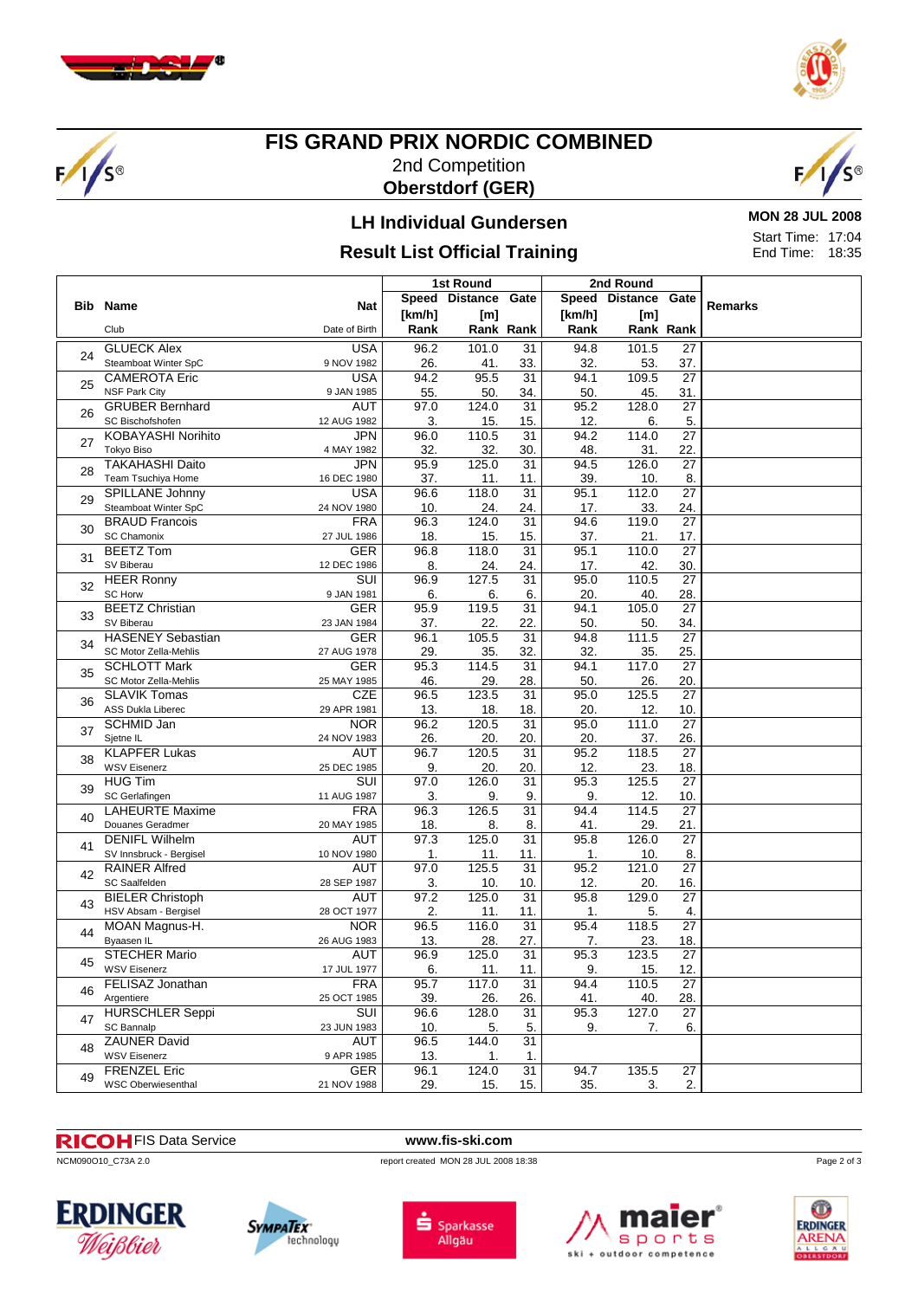

 $F/1/s$ 



## **FIS GRAND PRIX NORDIC COMBINED** 2nd Competition **Oberstdorf (GER)**



# **LH Individual Gundersen**

# **Result List Official Training**

**MON 28 JUL 2008** Start Time: 17:04 End Time: 18:35

|    |                           |                         |        |                |                 | 2nd Round |                     |                 |                |
|----|---------------------------|-------------------------|--------|----------------|-----------------|-----------|---------------------|-----------------|----------------|
|    |                           |                         |        | Speed Distance | Gate            |           | Speed Distance Gate |                 | <b>Remarks</b> |
|    | <b>Bib Name</b>           | Nat                     | [km/h] | [m]            |                 | [km/h]    | [m]                 |                 |                |
|    | Club                      | Date of Birth           | Rank   |                | Rank Rank       | Rank      |                     | Rank Rank       |                |
|    | <b>GLUECK Alex</b>        | <b>USA</b>              | 96.2   | 101.0          | 31              | 94.8      | 101.5               | $\overline{27}$ |                |
| 24 | Steamboat Winter SpC      | 9 NOV 1982              | 26.    | 41.            | 33.             | 32.       | 53.                 | 37.             |                |
|    | <b>CAMEROTA Eric</b>      | <b>USA</b>              | 94.2   | 95.5           | 31              | 94.1      | 109.5               | $\overline{27}$ |                |
| 25 | <b>NSF Park City</b>      | 9 JAN 1985              | 55.    | 50.            | 34.             | 50.       | 45.                 | 31.             |                |
|    | <b>GRUBER Bernhard</b>    | <b>AUT</b>              | 97.0   | 124.0          | 31              | 95.2      | 128.0               | $\overline{27}$ |                |
| 26 | SC Bischofshofen          | 12 AUG 1982             | 3.     | 15.            | 15.             | 12.       | 6.                  | 5.              |                |
|    | <b>KOBAYASHI Norihito</b> | <b>JPN</b>              | 96.0   | 110.5          | 31              | 94.2      | 114.0               | $\overline{27}$ |                |
| 27 | <b>Tokyo Biso</b>         | 4 MAY 1982              | 32.    | 32.            | 30.             | 48.       | 31.                 | 22.             |                |
|    | <b>TAKAHASHI Daito</b>    | JPN                     | 95.9   | 125.0          | 31              | 94.5      | 126.0               | $\overline{27}$ |                |
| 28 | Team Tsuchiya Home        | 16 DEC 1980             | 37.    | 11.            | 11.             | 39.       | 10.                 | 8.              |                |
|    | <b>SPILLANE Johnny</b>    | <b>USA</b>              | 96.6   | 118.0          | $\overline{31}$ | 95.1      | 112.0               | $\overline{27}$ |                |
| 29 | Steamboat Winter SpC      | 24 NOV 1980             | 10.    | 24.            | 24.             | 17.       | 33.                 | 24.             |                |
|    | <b>BRAUD Francois</b>     | <b>FRA</b>              | 96.3   | 124.0          | 31              | 94.6      | 119.0               | $\overline{27}$ |                |
| 30 | SC Chamonix               | 27 JUL 1986             | 18.    | 15.            | 15.             | 37.       | 21.                 | 17.             |                |
|    | <b>BEETZ Tom</b>          | <b>GER</b>              | 96.8   | 118.0          | $\overline{31}$ | 95.1      | 110.0               | $\overline{27}$ |                |
| 31 | SV Biberau                | 12 DEC 1986             | 8.     | 24.            | 24.             | 17.       | 42.                 | 30.             |                |
|    | <b>HEER Ronny</b>         | $\overline{\text{SUI}}$ | 96.9   | 127.5          | $\overline{31}$ | 95.0      | 110.5               | $\overline{27}$ |                |
| 32 | SC Horw                   | 9 JAN 1981              | 6.     | 6.             | 6.              | 20.       | 40.                 | 28.             |                |
|    | <b>BEETZ Christian</b>    | <b>GER</b>              | 95.9   | 119.5          | $\overline{31}$ | 94.1      | 105.0               | $\overline{27}$ |                |
| 33 | SV Biberau                | 23 JAN 1984             | 37.    | 22.            | 22.             | 50.       | 50.                 | 34.             |                |
|    | <b>HASENEY Sebastian</b>  | <b>GER</b>              | 96.1   | 105.5          | 31              | 94.8      | 111.5               | $\overline{27}$ |                |
| 34 | SC Motor Zella-Mehlis     | 27 AUG 1978             | 29.    | 35.            | 32.             | 32.       | 35.                 | 25.             |                |
| 35 | <b>SCHLOTT Mark</b>       | <b>GER</b>              | 95.3   | 114.5          | 31              | 94.1      | 117.0               | 27              |                |
|    | SC Motor Zella-Mehlis     | 25 MAY 1985             | 46.    | 29.            | 28.             | 50.       | 26.                 | 20.             |                |
| 36 | <b>SLAVIK Tomas</b>       | <b>CZE</b>              | 96.5   | 123.5          | 31              | 95.0      | 125.5               | 27              |                |
|    | ASS Dukla Liberec         | 29 APR 1981             | 13.    | 18.            | 18.             | 20.       | 12.                 | 10.             |                |
|    | SCHMID Jan                | <b>NOR</b>              | 96.2   | 120.5          | 31              | 95.0      | 111.0               | 27              |                |
| 37 | Sjetne IL                 | 24 NOV 1983             | 26.    | 20.            | 20.             | 20.       | 37.                 | 26.             |                |
|    | <b>KLAPFER Lukas</b>      | AUT                     | 96.7   | 120.5          | 31              | 95.2      | 118.5               | 27              |                |
| 38 | <b>WSV Eisenerz</b>       | 25 DEC 1985             | 9.     | 20.            | 20.             | 12.       | 23.                 | 18.             |                |
|    | <b>HUG Tim</b>            | SUI                     | 97.0   | 126.0          | 31              | 95.3      | 125.5               | 27              |                |
| 39 | SC Gerlafingen            | 11 AUG 1987             | 3.     | 9.             | 9.              | 9.        | 12.                 | 10.             |                |
|    | <b>LAHEURTE Maxime</b>    | <b>FRA</b>              | 96.3   | 126.5          | $\overline{31}$ | 94.4      | 114.5               | 27              |                |
| 40 | Douanes Geradmer          | 20 MAY 1985             | 18.    | 8.             | 8.              | 41.       | 29.                 | 21.             |                |
|    | <b>DENIFL Wilhelm</b>     | <b>AUT</b>              | 97.3   | 125.0          | $\overline{31}$ | 95.8      | 126.0               | $\overline{27}$ |                |
| 41 | SV Innsbruck - Bergisel   | 10 NOV 1980             | 1.     | 11.            | 11.             | 1.        | 10.                 | 8.              |                |
|    | <b>RAINER Alfred</b>      | <b>AUT</b>              | 97.0   | 125.5          | $\overline{31}$ | 95.2      | 121.0               | $\overline{27}$ |                |
| 42 | SC Saalfelden             | 28 SEP 1987             | 3.     | 10.            | 10.             | 12.       | 20.                 | 16.             |                |
|    | <b>BIELER Christoph</b>   | AUT                     | 97.2   | 125.0          | $\overline{31}$ | 95.8      | 129.0               | $\overline{27}$ |                |
| 43 | HSV Absam - Bergisel      | 28 OCT 1977             | 2.     | 11.            | 11.             | 1.        | 5.                  | 4.              |                |
| 44 | MOAN Magnus-H.            | <b>NOR</b>              | 96.5   | 116.0          | 31              | 95.4      | 118.5               | $\overline{27}$ |                |
|    | Byaasen IL                | 26 AUG 1983             | 13.    | 28.            | 27.             | 7.        | 23.                 | 18.             |                |
|    | <b>STECHER Mario</b>      | AUT                     | 96.9   | 125.0          | 31              | 95.3      | 123.5               | 27              |                |
| 45 | <b>WSV Eisenerz</b>       | 17 JUL 1977             | 6.     | 11.            | 11.             | 9.        | 15.                 | 12.             |                |
|    | FELISAZ Jonathan          | <b>FRA</b>              | 95.7   | 117.0          | 31              | 94.4      | 110.5               | 27              |                |
| 46 | Argentiere                | 25 OCT 1985             | 39.    | 26.            | 26.             | 41.       | 40.                 | 28.             |                |
|    | <b>HURSCHLER Seppi</b>    | SUI                     | 96.6   | 128.0          | 31              | 95.3      | 127.0               | 27              |                |
| 47 | SC Bannalp                | 23 JUN 1983             | 10.    | 5.             | 5.              | 9.        | 7.                  | 6.              |                |
|    | <b>ZAUNER David</b>       | <b>AUT</b>              | 96.5   | 144.0          | 31              |           |                     |                 |                |
| 48 | <b>WSV Eisenerz</b>       | 9 APR 1985              | 13.    | 1.             | 1.              |           |                     |                 |                |
|    | <b>FRENZEL Eric</b>       | <b>GER</b>              | 96.1   | 124.0          | 31              | 94.7      | 135.5               | 27              |                |
| 49 | <b>WSC Oberwiesenthal</b> | 21 NOV 1988             | 29.    | 15.            | 15.             | 35.       | 3.                  | 2.              |                |

### FIS Data Service **www.fis-ski.com**

ncM090O10\_C73A 2.0 report created MON 28 JUL 2008 18:38